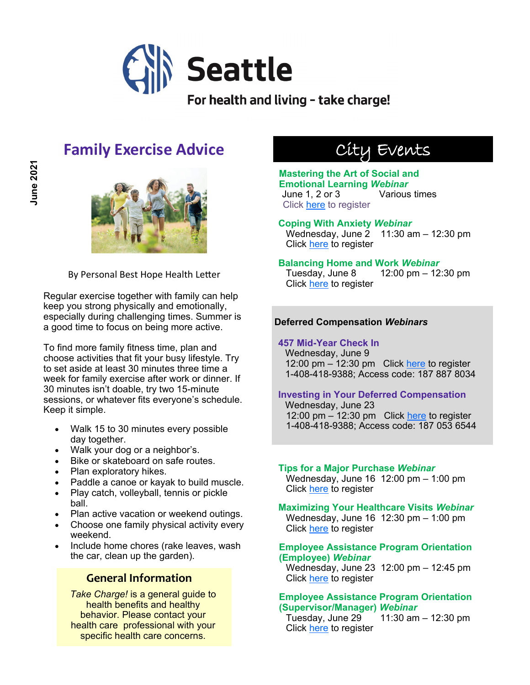

For health and living - take charge!

## **Family Exercise Advice**



By Personal Best Hope Health Letter

Regular exercise together with family can help keep you strong physically and emotionally, especially during challenging times. Summer is a good time to focus on being more active.

To find more family fitness time, plan and choose activities that fit your busy lifestyle. Try to set aside at least 30 minutes three time a week for family exercise after work or dinner. If 30 minutes isn't doable, try two 15-minute sessions, or whatever fits everyone's schedule. Keep it simple.

- Walk 15 to 30 minutes every possible day together.
- Walk your dog or a neighbor's.
- Bike or skateboard on safe routes.
- Plan exploratory hikes.
- Paddle a canoe or kayak to build muscle.
- Play catch, volleyball, tennis or pickle ball.
- Plan active vacation or weekend outings.
- Choose one family physical activity every weekend.
- Include home chores (rake leaves, wash the car, clean up the garden).

## **General Information**

*Take Charge!* is a general guide to health benefits and healthy behavior. Please contact your health care professional with your specific health care concerns.

# City Events

### **Mastering the Art of Social and Emotional Learning** *Webinar* June 1, 2 or 3 Various times Click [here](https://rethinkfirst.zoom.us/webinar/register/WN_PpOGQIL5QYO4S0UNVYrdfA) to register

**Coping With Anxiety** *Webinar* Wednesday, June 2 11:30 am – 12:30 pm Click [here](https://bit.ly/3t4z3g5) to register

### **Balancing Home and Work** *Webinar*

Tuesday, June 8 12:00 pm – 12:30 pm Click [here](https://bit.ly/3xESnnC) to register

## **Deferred Compensation** *Webinars*

**457 Mid-Year Check In** Wednesday, June 9 12:00 pm  $-$  12:30 pm Click [here](https://seattle.webex.com/seattle/onstage/g.php?MTID=ed7fdee9d26094606e594ac8d450f311e) to register 1-408-418-9388; Access code: 187 887 8034

## **Investing in Your Deferred Compensation**

Wednesday, June 23 12:00 pm  $-$  12:30 pm Click [here](https://seattle.webex.com/seattle/onstage/g.php?MTID=e4ee15b73ca6766ffb2f96a9248df2f65) to register 1-408-418-9388; Access code: 187 053 6544

#### **Tips for a Major Purchase** *Webinar* Wednesday, June 16 12:00 pm – 1:00 pm

Click [here](https://register.gotowebinar.com/register/5468244473706606863) to register

**Maximizing Your Healthcare Visits** *Webinar* Wednesday, June 16 12:30 pm – 1:00 pm Click [here](https://bit.ly/3v4ylRO) to register

### **Employee Assistance Program Orientation (Employee)** *Webinar*

Wednesday, June 23 12:00 pm – 12:45 pm Click [here](https://mylifevalues.webex.com/mylifevalues/k2/j.php?MTID=ta3133187958050b3602042df1df1dbcb) to register

### **Employee Assistance Program Orientation (Supervisor/Manager)** *Webinar*

Tuesday, June 29  $11:30$  am  $-12:30$  pm Click [here](https://mylifevalues.webex.com/mylifevalues/k2/j.php?MTID=te6a283ae62b97154b1021c304b6c6707) to register